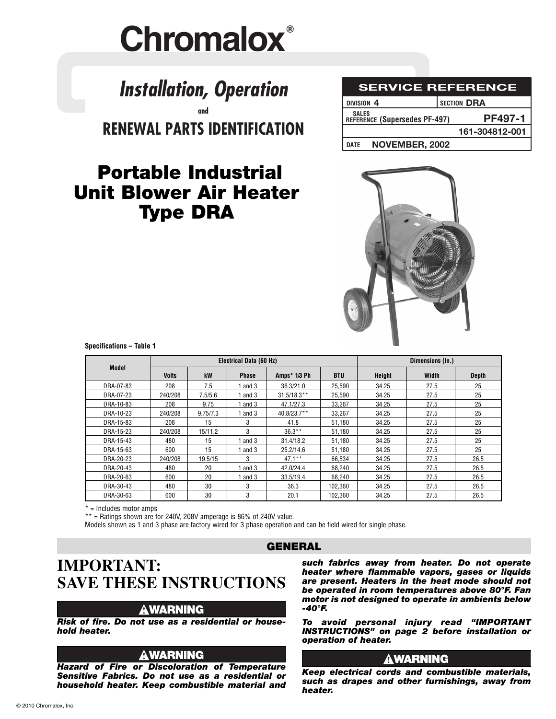# **Chromalox®**

# **RENEWAL PARTS IDENTIFICATION** *Installation, Operation* **and**

**Type DRA**

| <b>SERVICE REFERENCE</b><br>SECTION DRA<br>DIVISION <sub>4</sub> |                |
|------------------------------------------------------------------|----------------|
| <b>SALES</b><br>REFERENCE (Supersedes PF-497)                    | PF497-1        |
| <b>DATE</b>                                                      | 161-304812-001 |
| NOVEMBER, 2002                                                   |                |
|                                                                  |                |

# **Portable Industrial Unit Blower Air Heater**

**Specifications – Table 1**

| <b>Electrical Data (60 Hz)</b> |              |          |              |               |            | Dimensions (In.) |       |              |
|--------------------------------|--------------|----------|--------------|---------------|------------|------------------|-------|--------------|
| <b>Model</b>                   | <b>Volts</b> | kW       | <b>Phase</b> | Amps* 1/3 Ph  | <b>BTU</b> | <b>Height</b>    | Width | <b>Depth</b> |
| DRA-07-83                      | 208          | 7.5      | and 3        | 36.3/21.0     | 25,590     | 34.25            | 27.5  | 25           |
| DRA-07-23                      | 240/208      | 7.5/5.6  | 1 and $3$    | $31.5/18.3**$ | 25.590     | 34.25            | 27.5  | 25           |
| DRA-10-83                      | 208          | 9.75     | 1 and $3$    | 47.1/27.3     | 33.267     | 34.25            | 27.5  | 25           |
| DRA-10-23                      | 240/208      | 9.75/7.3 | 1 and $3$    | $40.8/23.7**$ | 33.267     | 34.25            | 27.5  | 25           |
| DRA-15-83                      | 208          | 15       | 3            | 41.8          | 51,180     | 34.25            | 27.5  | 25           |
| DRA-15-23                      | 240/208      | 15/11.2  | 3            | $36.3**$      | 51,180     | 34.25            | 27.5  | 25           |
| DRA-15-43                      | 480          | 15       | and 3        | 31.4/18.2     | 51.180     | 34.25            | 27.5  | 25           |
| DRA-15-63                      | 600          | 15       | 1 and $3$    | 25.2/14.6     | 51,180     | 34.25            | 27.5  | 25           |
| DRA-20-23                      | 240/208      | 19.5/15  | 3            | $47.1***$     | 66,534     | 34.25            | 27.5  | 26.5         |
| DRA-20-43                      | 480          | 20       | 1 and 3      | 42.0/24.4     | 68.240     | 34.25            | 27.5  | 26.5         |
| DRA-20-63                      | 600          | 20       | and 3        | 33.5/19.4     | 68.240     | 34.25            | 27.5  | 26.5         |
| DRA-30-43                      | 480          | 30       | 3            | 36.3          | 102.360    | 34.25            | 27.5  | 26.5         |
| DRA-30-63                      | 600          | 30       | 3            | 20.1          | 102,360    | 34.25            | 27.5  | 26.5         |

\* = Includes motor amps

 $**$  = Ratings shown are for 240V, 208V amperage is 86% of 240V value.

Models shown as 1 and 3 phase are factory wired for 3 phase operation and can be field wired for single phase.

#### **GENERAL**

### **IMPORTANT: SAVE THESE INSTRUCTIONS**

#### **AWARNING**

*Risk of fire. Do not use as a residential or household heater.*

#### **A WARNING**

*Hazard of Fire or Discoloration of Temperature Sensitive Fabrics. Do not use as a residential or household heater. Keep combustible material and*  *such fabrics away from heater. Do not operate heater where flammable vapors, gases or liquids are present. Heaters in the heat mode should not be operated in room temperatures above 80°F. Fan motor is not designed to operate in ambients below -40°F.*

*To avoid personal injury read "IMPORTANT INSTRUCTIONS" on page 2 before installation or operation of heater.*

#### **AWARNING**

*Keep electrical cords and combustible materials, such as drapes and other furnishings, away from heater.*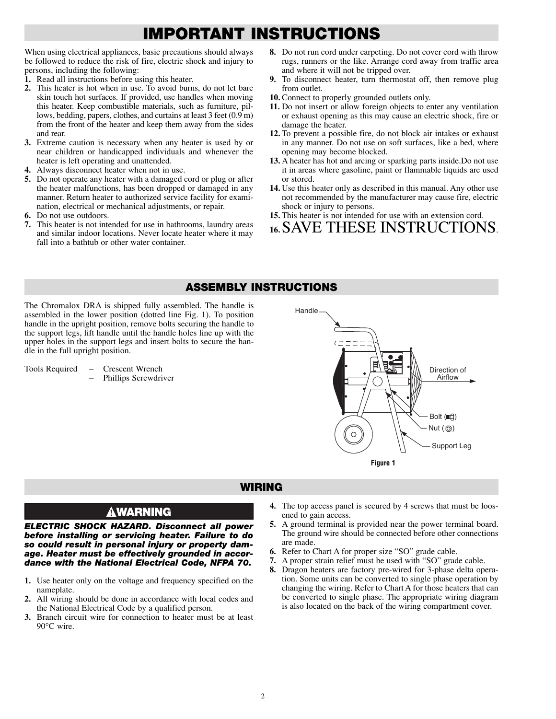## **IMPORTANT INSTRUCTIONS**

When using electrical appliances, basic precautions should always be followed to reduce the risk of fire, electric shock and injury to persons, including the following:

- **1.** Read all instructions before using this heater.
- **2.** This heater is hot when in use. To avoid burns, do not let bare skin touch hot surfaces. If provided, use handles when moving this heater. Keep combustible materials, such as furniture, pillows, bedding, papers, clothes, and curtains at least 3 feet (0.9 m) from the front of the heater and keep them away from the sides and rear.
- **3.** Extreme caution is necessary when any heater is used by or near children or handicapped individuals and whenever the heater is left operating and unattended.
- **4.** Always disconnect heater when not in use.
- **5.** Do not operate any heater with a damaged cord or plug or after the heater malfunctions, has been dropped or damaged in any manner. Return heater to authorized service facility for examination, electrical or mechanical adjustments, or repair.
- **6.** Do not use outdoors.
- **7.** This heater is not intended for use in bathrooms, laundry areas and similar indoor locations. Never locate heater where it may fall into a bathtub or other water container.
- **8.** Do not run cord under carpeting. Do not cover cord with throw rugs, runners or the like. Arrange cord away from traffic area and where it will not be tripped over.
- **9.** To disconnect heater, turn thermostat off, then remove plug from outlet.
- **10.** Connect to properly grounded outlets only.
- **11.** Do not insert or allow foreign objects to enter any ventilation or exhaust opening as this may cause an electric shock, fire or damage the heater.
- **12.** To prevent a possible fire, do not block air intakes or exhaust in any manner. Do not use on soft surfaces, like a bed, where opening may become blocked.
- **13.** A heater has hot and arcing or sparking parts inside.Do not use it in areas where gasoline, paint or flammable liquids are used or stored.
- **14.** Use this heater only as described in this manual. Any other use not recommended by the manufacturer may cause fire, electric shock or injury to persons.
- **15.** This heater is not intended for use with an extension cord.
- **16.**SAVE THESE INSTRUCTIONS.

#### **ASSEMBLY INSTRUCTIONS**

The Chromalox DRA is shipped fully assembled. The handle is assembled in the lower position (dotted line Fig. 1). To position handle in the upright position, remove bolts securing the handle to the support legs, lift handle until the handle holes line up with the upper holes in the support legs and insert bolts to secure the handle in the full upright position.

Tools Required – Crescent Wrench – Phillips Screwdriver



#### **WIRING**

#### **AWARNING**

*ELECTRIC SHOCK HAZARD. Disconnect all power before installing or servicing heater. Failure to do so could result in personal injury or property damage. Heater must be effectively grounded in accordance with the National Electrical Code, NFPA 70.*

- **1.** Use heater only on the voltage and frequency specified on the nameplate.
- **2.** All wiring should be done in accordance with local codes and the National Electrical Code by a qualified person.
- **3.** Branch circuit wire for connection to heater must be at least 90°C wire.
- **4.** The top access panel is secured by 4 screws that must be loosened to gain access.
- **5.** A ground terminal is provided near the power terminal board. The ground wire should be connected before other connections are made.
- **6.** Refer to Chart A for proper size "SO" grade cable.
- **7.** A proper strain relief must be used with "SO" grade cable.
- **8.** Dragon heaters are factory pre-wired for 3-phase delta operation. Some units can be converted to single phase operation by changing the wiring. Refer to Chart A for those heaters that can be converted to single phase. The appropriate wiring diagram is also located on the back of the wiring compartment cover.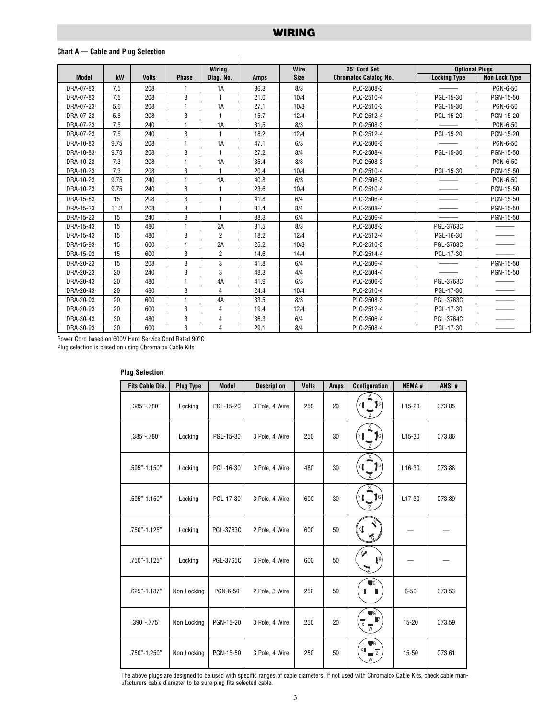#### **Chart A — Cable and Plug Selection**

|              |      |              |              | <b>Wiring</b>  |             | 25' Cord Set<br>Wire |                              | <b>Optional Plugs</b> |                      |
|--------------|------|--------------|--------------|----------------|-------------|----------------------|------------------------------|-----------------------|----------------------|
| <b>Model</b> | kW   | <b>Volts</b> | <b>Phase</b> | Diag. No.      | <b>Amps</b> | <b>Size</b>          | <b>Chromalox Catalog No.</b> | <b>Locking Type</b>   | <b>Non Lock Type</b> |
| DRA-07-83    | 7.5  | 208          | 1            | 1A             | 36.3        | 8/3                  | PLC-2508-3                   |                       | PGN-6-50             |
| DRA-07-83    | 7.5  | 208          | 3            |                | 21.0        | 10/4                 | PLC-2510-4                   | PGL-15-30             | PGN-15-50            |
| DRA-07-23    | 5.6  | 208          | $\mathbf{1}$ | 1A             | 27.1        | 10/3                 | PLC-2510-3                   | PGL-15-30             | PGN-6-50             |
| DRA-07-23    | 5.6  | 208          | 3            |                | 15.7        | 12/4                 | PLC-2512-4                   | PGL-15-20             | PGN-15-20            |
| DRA-07-23    | 7.5  | 240          | $\mathbf{1}$ | 1A             | 31.5        | 8/3                  | PLC-2508-3                   |                       | PGN-6-50             |
| DRA-07-23    | 7.5  | 240          | 3            |                | 18.2        | 12/4                 | PLC-2512-4                   | PGL-15-20             | PGN-15-20            |
| DRA-10-83    | 9.75 | 208          | 1            | 1A             | 47.1        | 6/3                  | PLC-2506-3                   |                       | PGN-6-50             |
| DRA-10-83    | 9.75 | 208          | 3            |                | 27.2        | 8/4                  | PLC-2508-4                   | PGL-15-30             | PGN-15-50            |
| DRA-10-23    | 7.3  | 208          | $\mathbf{1}$ | 1A             | 35.4        | 8/3                  | PLC-2508-3                   |                       | PGN-6-50             |
| DRA-10-23    | 7.3  | 208          | 3            |                | 20.4        | 10/4                 | PLC-2510-4                   | PGL-15-30             | PGN-15-50            |
| DRA-10-23    | 9.75 | 240          | $\mathbf{1}$ | 1A             | 40.8        | 6/3                  | PLC-2506-3                   |                       | PGN-6-50             |
| DRA-10-23    | 9.75 | 240          | 3            |                | 23.6        | 10/4                 | PLC-2510-4                   |                       | PGN-15-50            |
| DRA-15-83    | 15   | 208          | 3            |                | 41.8        | 6/4                  | PLC-2506-4                   |                       | PGN-15-50            |
| DRA-15-23    | 11.2 | 208          | 3            |                | 31.4        | 8/4                  | PLC-2508-4                   |                       | PGN-15-50            |
| DRA-15-23    | 15   | 240          | 3            | 1              | 38.3        | 6/4                  | PLC-2506-4                   |                       | PGN-15-50            |
| DRA-15-43    | 15   | 480          | 1            | 2A             | 31.5        | 8/3                  | PLC-2508-3                   | PGL-3763C             |                      |
| DRA-15-43    | 15   | 480          | 3            | $\overline{2}$ | 18.2        | 12/4                 | PLC-2512-4                   | PGL-16-30             |                      |
| DRA-15-93    | 15   | 600          | 1            | 2A             | 25.2        | 10/3                 | PLC-2510-3                   | PGL-3763C             |                      |
| DRA-15-93    | 15   | 600          | 3            | $\overline{2}$ | 14.6        | 14/4                 | PLC-2514-4                   | PGL-17-30             |                      |
| DRA-20-23    | 15   | 208          | 3            | 3              | 41.8        | 6/4                  | PLC-2506-4                   |                       | PGN-15-50            |
| DRA-20-23    | 20   | 240          | 3            | 3              | 48.3        | 4/4                  | PLC-2504-4                   |                       | PGN-15-50            |
| DRA-20-43    | 20   | 480          | $\mathbf{1}$ | 4A             | 41.9        | 6/3                  | PLC-2506-3                   | PGL-3763C             |                      |
| DRA-20-43    | 20   | 480          | 3            | 4              | 24.4        | 10/4                 | PLC-2510-4                   | PGL-17-30             |                      |
| DRA-20-93    | 20   | 600          | $\mathbf{1}$ | 4A             | 33.5        | 8/3                  | PLC-2508-3                   | PGL-3763C             |                      |
| DRA-20-93    | 20   | 600          | 3            | 4              | 19.4        | 12/4                 | PLC-2512-4                   | PGL-17-30             |                      |
| DRA-30-43    | 30   | 480          | 3            | 4              | 36.3        | 6/4                  | PLC-2506-4                   | PGL-3764C             |                      |
| DRA-30-93    | 30   | 600          | 3            | 4              | 29.1        | 8/4                  | PLC-2508-4                   | PGL-17-30             |                      |

Power Cord based on 600V Hard Service Cord Rated 90°C

Plug selection is based on using Chromalox Cable Kits

| Fits Cable Dia. | <b>Plug Type</b> | <b>Model</b> | <b>Description</b> | <b>Volts</b> | <b>Amps</b> | Configuration                       | <b>NEMA#</b>        | ANSI#  |
|-----------------|------------------|--------------|--------------------|--------------|-------------|-------------------------------------|---------------------|--------|
| .385" -. 780"   | Locking          | PGL-15-20    | 3 Pole, 4 Wire     | 250          | 20          | $\mathbf{J}$ G                      | $L15-20$            | C73.85 |
| .385" -. 780"   | Locking          | PGL-15-30    | 3 Pole, 4 Wire     | 250          | 30          | 1G                                  | $L15-30$            | C73.86 |
| .595"-1.150"    | Locking          | PGL-16-30    | 3 Pole, 4 Wire     | 480          | 30          | JG.                                 | L <sub>16</sub> -30 | C73.88 |
| .595"-1.150"    | Locking          | PGL-17-30    | 3 Pole, 4 Wire     | 600          | 30          | JG                                  | L17-30              | C73.89 |
| .750"-1.125"    | Locking          | PGL-3763C    | 2 Pole, 4 Wire     | 600          | 50          |                                     |                     |        |
| .750"-1.125"    | Locking          | PGL-3765C    | 3 Pole, 4 Wire     | 600          | 50          | Į×                                  |                     |        |
| .625"-1.187"    | Non Locking      | PGN-6-50     | 2 Pole, 3 Wire     | 250          | 50          | DG.                                 | $6 - 50$            | C73.53 |
| .390"-.775"     | Non Locking      | PGN-15-20    | 3 Pole, 4 Wire     | 250          | 20          | ΠZ<br>$\overline{x}$ $\overline{w}$ | $15 - 20$           | C73.59 |
| .750"-1.250"    | Non Locking      | PGN-15-50    | 3 Pole, 4 Wire     | 250          | 50          | $\overline{z}$<br>W                 | $15 - 50$           | C73.61 |

#### **Plug Selection**

The above plugs are designed to be used with specific ranges of cable diameters. If not used with Chromalox Cable Kits, check cable manufacturers cable diameter to be sure plug fits selected cable.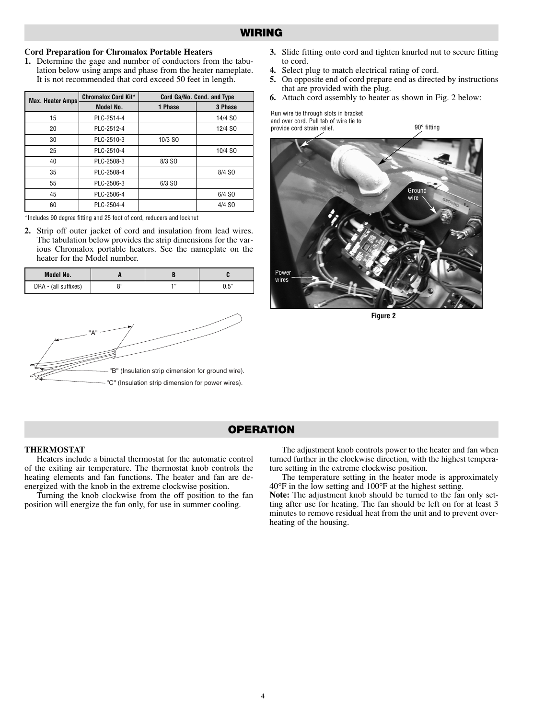#### **WIRING**

#### **Cord Preparation for Chromalox Portable Heaters**

**1.** Determine the gage and number of conductors from the tabulation below using amps and phase from the heater nameplate. It is not recommended that cord exceed 50 feet in length.

| <b>Max. Heater Amps</b> | Chromalox Cord Kit* | Cord Ga/No. Cond. and Type |         |  |  |  |
|-------------------------|---------------------|----------------------------|---------|--|--|--|
|                         | Model No.           | 1 Phase                    | 3 Phase |  |  |  |
| 15                      | PLC-2514-4          |                            | 14/4 SO |  |  |  |
| 20                      | PLC-2512-4          |                            | 12/4 SO |  |  |  |
| 30                      | PLC-2510-3          | 10/3 SO                    |         |  |  |  |
| 25                      | PLC-2510-4          |                            | 10/4 SO |  |  |  |
| 40                      | PLC-2508-3          | 8/3 SO                     |         |  |  |  |
| 35                      | PLC-2508-4          |                            | 8/4 SO  |  |  |  |
| 55                      | PLC-2506-3          | 6/3 SO                     |         |  |  |  |
| 45                      | PLC-2506-4          |                            | 6/4 SO  |  |  |  |
| 60                      | PLC-2504-4          |                            | 4/4 SO  |  |  |  |

\*Includes 90 degree fitting and 25 foot of cord, reducers and locknut

**2.** Strip off outer jacket of cord and insulation from lead wires. The tabulation below provides the strip dimensions for the various Chromalox portable heaters. See the nameplate on the heater for the Model number.

| Model No.            |  |      |
|----------------------|--|------|
| DRA - (all suffixes) |  | 0.5" |



- **3.** Slide fitting onto cord and tighten knurled nut to secure fitting to cord.
- **4.** Select plug to match electrical rating of cord.
- **5.** On opposite end of cord prepare end as directed by instructions that are provided with the plug.

90° fitting

**6.** Attach cord assembly to heater as shown in Fig. 2 below:

Run wire tie through slots in bracket and over cord. Pull tab of wire tie to provide cord strain relief.



**Figure 2**

#### **OPERATION**

#### **THERMOSTAT**

Heaters include a bimetal thermostat for the automatic control of the exiting air temperature. The thermostat knob controls the heating elements and fan functions. The heater and fan are deenergized with the knob in the extreme clockwise position.

Turning the knob clockwise from the off position to the fan position will energize the fan only, for use in summer cooling.

The adjustment knob controls power to the heater and fan when turned further in the clockwise direction, with the highest temperature setting in the extreme clockwise position.

The temperature setting in the heater mode is approximately 40°F in the low setting and 100°F at the highest setting.

**Note:** The adjustment knob should be turned to the fan only setting after use for heating. The fan should be left on for at least 3 minutes to remove residual heat from the unit and to prevent overheating of the housing.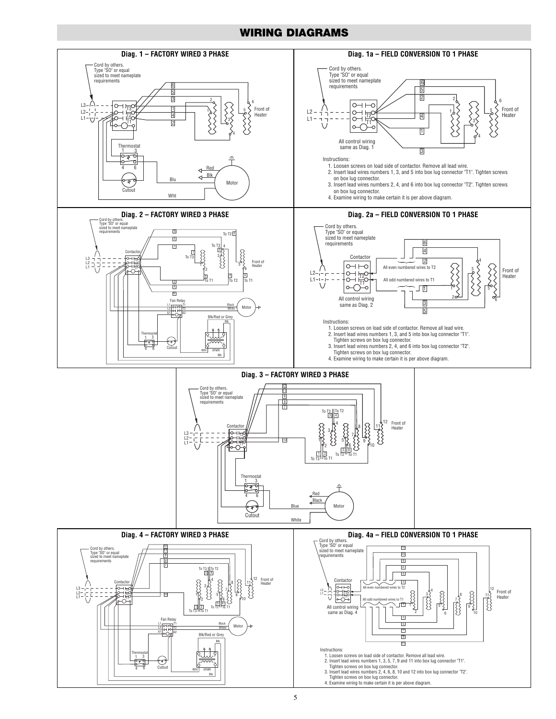#### **WIRING DIAGRAMS**